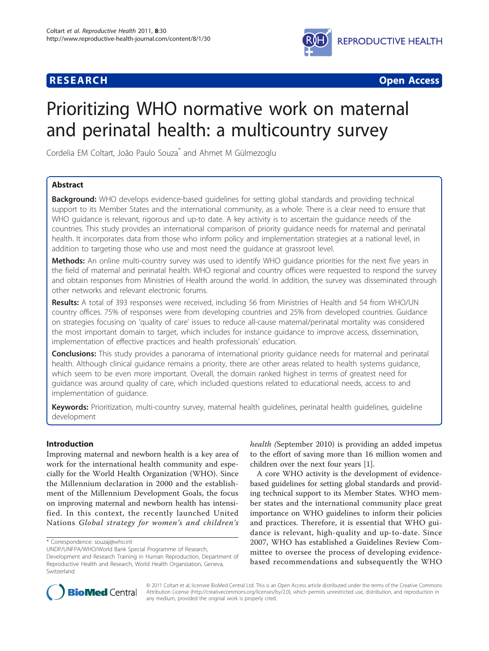

**RESEARCH CONTROL** CONTROL CONTROL CONTROL CONTROL CONTROL CONTROL CONTROL CONTROL CONTROL CONTROL CONTROL CONTROL CONTROL CONTROL CONTROL CONTROL CONTROL CONTROL CONTROL CONTROL CONTROL CONTROL CONTROL CONTROL CONTROL CON

# Prioritizing WHO normative work on maternal and perinatal health: a multicountry survey

Cordelia EM Coltart, João Paulo Souza\* and Ahmet M Gülmezoglu

# Abstract

**Background:** WHO develops evidence-based quidelines for setting global standards and providing technical support to its Member States and the international community, as a whole. There is a clear need to ensure that WHO guidance is relevant, rigorous and up-to date. A key activity is to ascertain the guidance needs of the countries. This study provides an international comparison of priority guidance needs for maternal and perinatal health. It incorporates data from those who inform policy and implementation strategies at a national level, in addition to targeting those who use and most need the guidance at grassroot level.

Methods: An online multi-country survey was used to identify WHO guidance priorities for the next five years in the field of maternal and perinatal health. WHO regional and country offices were requested to respond the survey and obtain responses from Ministries of Health around the world. In addition, the survey was disseminated through other networks and relevant electronic forums.

Results: A total of 393 responses were received, including 56 from Ministries of Health and 54 from WHO/UN country offices. 75% of responses were from developing countries and 25% from developed countries. Guidance on strategies focusing on 'quality of care' issues to reduce all-cause maternal/perinatal mortality was considered the most important domain to target, which includes for instance guidance to improve access, dissemination, implementation of effective practices and health professionals' education.

**Conclusions:** This study provides a panorama of international priority quidance needs for maternal and perinatal health. Although clinical guidance remains a priority, there are other areas related to health systems guidance, which seem to be even more important. Overall, the domain ranked highest in terms of greatest need for guidance was around quality of care, which included questions related to educational needs, access to and implementation of guidance.

Keywords: Prioritization, multi-country survey, maternal health guidelines, perinatal health guidelines, guideline development

# Introduction

Improving maternal and newborn health is a key area of work for the international health community and especially for the World Health Organization (WHO). Since the Millennium declaration in 2000 and the establishment of the Millennium Development Goals, the focus on improving maternal and newborn health has intensified. In this context, the recently launched United Nations Global strategy for women's and children's

\* Correspondence: [souzaj@who.int](mailto:souzaj@who.int)

UNDP/UNFPA/WHO/World Bank Special Programme of Research, Development and Research Training in Human Reproduction, Department of Reproductive Health and Research, World Health Organization, Geneva, Switzerland

health (September 2010) is providing an added impetus to the effort of saving more than 16 million women and children over the next four years [\[1](#page-4-0)].

A core WHO activity is the development of evidencebased guidelines for setting global standards and providing technical support to its Member States. WHO member states and the international community place great importance on WHO guidelines to inform their policies and practices. Therefore, it is essential that WHO guidance is relevant, high-quality and up-to-date. Since 2007, WHO has established a Guidelines Review Committee to oversee the process of developing evidencebased recommendations and subsequently the WHO



© 2011 Coltart et al; licensee BioMed Central Ltd. This is an Open Access article distributed under the terms of the Creative Commons Attribution License [\(http://creativecommons.org/licenses/by/2.0](http://creativecommons.org/licenses/by/2.0)), which permits unrestricted use, distribution, and reproduction in any medium, provided the original work is properly cited.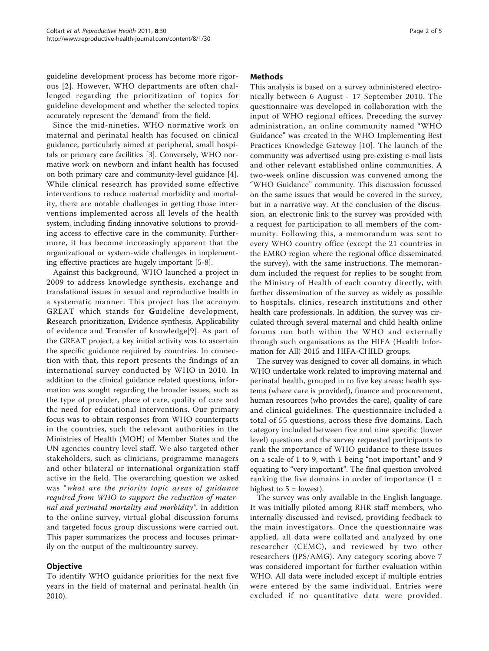guideline development process has become more rigorous [[2](#page-4-0)]. However, WHO departments are often challenged regarding the prioritization of topics for guideline development and whether the selected topics accurately represent the 'demand' from the field.

Since the mid-nineties, WHO normative work on maternal and perinatal health has focused on clinical guidance, particularly aimed at peripheral, small hospitals or primary care facilities [[3\]](#page-4-0). Conversely, WHO normative work on newborn and infant health has focused on both primary care and community-level guidance [\[4](#page-4-0)]. While clinical research has provided some effective interventions to reduce maternal morbidity and mortality, there are notable challenges in getting those interventions implemented across all levels of the health system, including finding innovative solutions to providing access to effective care in the community. Furthermore, it has become increasingly apparent that the organizational or system-wide challenges in implementing effective practices are hugely important [[5-8](#page-4-0)].

Against this background, WHO launched a project in 2009 to address knowledge synthesis, exchange and translational issues in sexual and reproductive health in a systematic manner. This project has the acronym GREAT which stands for Guideline development, Research prioritization, Evidence synthesis, Applicability of evidence and Transfer of knowledge[[9\]](#page-4-0). As part of the GREAT project, a key initial activity was to ascertain the specific guidance required by countries. In connection with that, this report presents the findings of an international survey conducted by WHO in 2010. In addition to the clinical guidance related questions, information was sought regarding the broader issues, such as the type of provider, place of care, quality of care and the need for educational interventions. Our primary focus was to obtain responses from WHO counterparts in the countries, such the relevant authorities in the Ministries of Health (MOH) of Member States and the UN agencies country level staff. We also targeted other stakeholders, such as clinicians, programme managers and other bilateral or international organization staff active in the field. The overarching question we asked was "what are the priority topic areas of guidance required from WHO to support the reduction of maternal and perinatal mortality and morbidity". In addition to the online survey, virtual global discussion forums and targeted focus group discussions were carried out. This paper summarizes the process and focuses primarily on the output of the multicountry survey.

# **Objective**

To identify WHO guidance priorities for the next five years in the field of maternal and perinatal health (in 2010).

# Methods

This analysis is based on a survey administered electronically between 6 August - 17 September 2010. The questionnaire was developed in collaboration with the input of WHO regional offices. Preceding the survey administration, an online community named "WHO Guidance" was created in the WHO Implementing Best Practices Knowledge Gateway [[10](#page-4-0)]. The launch of the community was advertised using pre-existing e-mail lists and other relevant established online communities. A two-week online discussion was convened among the "WHO Guidance" community. This discussion focussed on the same issues that would be covered in the survey, but in a narrative way. At the conclusion of the discussion, an electronic link to the survey was provided with a request for participation to all members of the community. Following this, a memorandum was sent to every WHO country office (except the 21 countries in the EMRO region where the regional office disseminated the survey), with the same instructions. The memorandum included the request for replies to be sought from the Ministry of Health of each country directly, with further dissemination of the survey as widely as possible to hospitals, clinics, research institutions and other health care professionals. In addition, the survey was circulated through several maternal and child health online forums run both within the WHO and externally through such organisations as the HIFA (Health Information for All) 2015 and HIFA-CHILD groups.

The survey was designed to cover all domains, in which WHO undertake work related to improving maternal and perinatal health, grouped in to five key areas: health systems (where care is provided), finance and procurement, human resources (who provides the care), quality of care and clinical guidelines. The questionnaire included a total of 55 questions, across these five domains. Each category included between five and nine specific (lower level) questions and the survey requested participants to rank the importance of WHO guidance to these issues on a scale of 1 to 9, with 1 being "not important" and 9 equating to "very important". The final question involved ranking the five domains in order of importance  $(1 =$ highest to  $5 =$  lowest).

The survey was only available in the English language. It was initially piloted among RHR staff members, who internally discussed and revised, providing feedback to the main investigators. Once the questionnaire was applied, all data were collated and analyzed by one researcher (CEMC), and reviewed by two other researchers (JPS/AMG). Any category scoring above 7 was considered important for further evaluation within WHO. All data were included except if multiple entries were entered by the same individual. Entries were excluded if no quantitative data were provided.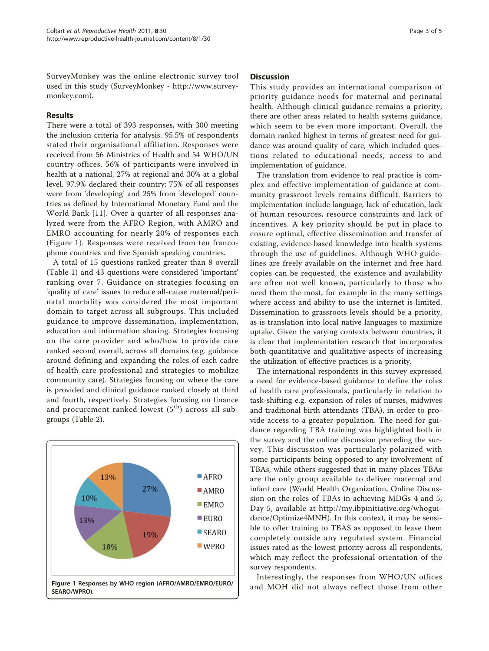SurveyMonkey was the online electronic survey tool used in this study (SurveyMonkey - [http://www.survey](http://www.surveymonkey.com)[monkey.com\)](http://www.surveymonkey.com).

# Results

There were a total of 393 responses, with 300 meeting the inclusion criteria for analysis. 95.5% of respondents stated their organisational affiliation. Responses were received from 56 Ministries of Health and 54 WHO/UN country offices. 56% of participants were involved in health at a national, 27% at regional and 30% at a global level. 97.9% declared their country: 75% of all responses were from 'developing' and 25% from 'developed' countries as defined by International Monetary Fund and the World Bank [[11\]](#page-4-0). Over a quarter of all responses analyzed were from the AFRO Region, with AMRO and EMRO accounting for nearly 20% of responses each (Figure 1). Responses were received from ten francophone countries and five Spanish speaking countries.

A total of 15 questions ranked greater than 8 overall (Table [1\)](#page-3-0) and 43 questions were considered 'important' ranking over 7. Guidance on strategies focusing on 'quality of care' issues to reduce all-cause maternal/perinatal mortality was considered the most important domain to target across all subgroups. This included guidance to improve dissemination, implementation, education and information sharing. Strategies focusing on the care provider and who/how to provide care ranked second overall, across all domains (e.g. guidance around defining and expanding the roles of each cadre of health care professional and strategies to mobilize community care). Strategies focusing on where the care is provided and clinical guidance ranked closely at third and fourth, respectively. Strategies focusing on finance and procurement ranked lowest  $(5<sup>th</sup>)$  across all subgroups (Table [2\)](#page-3-0).



### **Discussion**

This study provides an international comparison of priority guidance needs for maternal and perinatal health. Although clinical guidance remains a priority, there are other areas related to health systems guidance, which seem to be even more important. Overall, the domain ranked highest in terms of greatest need for guidance was around quality of care, which included questions related to educational needs, access to and implementation of guidance.

The translation from evidence to real practice is complex and effective implementation of guidance at community grassroot levels remains difficult. Barriers to implementation include language, lack of education, lack of human resources, resource constraints and lack of incentives. A key priority should be put in place to ensure optimal, effective dissemination and transfer of existing, evidence-based knowledge into health systems through the use of guidelines. Although WHO guidelines are freely available on the internet and free hard copies can be requested, the existence and availability are often not well known, particularly to those who need them the most, for example in the many settings where access and ability to use the internet is limited. Dissemination to grassroots levels should be a priority, as is translation into local native languages to maximize uptake. Given the varying contexts between countries, it is clear that implementation research that incorporates both quantitative and qualitative aspects of increasing the utilization of effective practices is a priority.

The international respondents in this survey expressed a need for evidence-based guidance to define the roles of health care professionals, particularly in relation to task-shifting e.g. expansion of roles of nurses, midwives and traditional birth attendants (TBA), in order to provide access to a greater population. The need for guidance regarding TBA training was highlighted both in the survey and the online discussion preceding the survey. This discussion was particularly polarized with some participants being opposed to any involvement of TBAs, while others suggested that in many places TBAs are the only group available to deliver maternal and infant care (World Health Organization, Online Discussion on the roles of TBAs in achieving MDGs 4 and 5, Day 5, available at [http://my.ibpinitiative.org/whogui](http://my.ibpinitiative.org/whoguidance/Optimize4MNH)[dance/Optimize4MNH\)](http://my.ibpinitiative.org/whoguidance/Optimize4MNH). In this context, it may be sensible to offer training to TBAS as opposed to leave them completely outside any regulated system. Financial issues rated as the lowest priority across all respondents, which may reflect the professional orientation of the survey respondents.

Interestingly, the responses from WHO/UN offices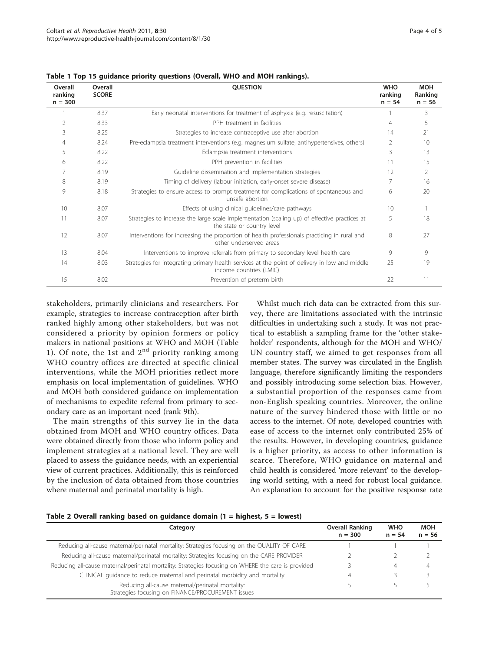| Overall<br>ranking<br>$n = 300$ | Overall<br><b>SCORE</b> | <b>QUESTION</b>                                                                                                            | <b>WHO</b><br>ranking<br>$n = 54$ | <b>MOH</b><br>Ranking<br>$n = 56$ |
|---------------------------------|-------------------------|----------------------------------------------------------------------------------------------------------------------------|-----------------------------------|-----------------------------------|
|                                 | 8.37                    | Early neonatal interventions for treatment of asphyxia (e.g. resuscitation)                                                |                                   | 3                                 |
| 2                               | 8.33                    | PPH treatment in facilities                                                                                                | 4                                 | 5                                 |
| 3                               | 8.25                    | Strategies to increase contraceptive use after abortion                                                                    | 14                                | 21                                |
| $\overline{4}$                  | 8.24                    | Pre-eclampsia treatment interventions (e.g. magnesium sulfate, antihypertensives, others)                                  | 2                                 | 10                                |
| 5                               | 8.22                    | Eclampsia treatment interventions                                                                                          | 3                                 | 13                                |
| 6                               | 8.22                    | PPH prevention in facilities                                                                                               | 11                                | 15                                |
|                                 | 8.19                    | Guideline dissemination and implementation strategies                                                                      | 12                                | $\mathfrak{D}$                    |
| 8                               | 8.19                    | Timing of delivery (labour initiation, early-onset severe disease)                                                         | 7                                 | 16                                |
| 9                               | 8.18                    | Strategies to ensure access to prompt treatment for complications of spontaneous and<br>unsafe abortion                    | 6                                 | 20                                |
| 10                              | 8.07                    | Effects of using clinical guidelines/care pathways                                                                         | 10                                |                                   |
| 11                              | 8.07                    | Strategies to increase the large scale implementation (scaling up) of effective practices at<br>the state or country level | 5                                 | 18                                |
| 12                              | 8.07                    | Interventions for increasing the proportion of health professionals practicing in rural and<br>other underserved areas     | 8                                 | 27                                |
| 13                              | 8.04                    | Interventions to improve referrals from primary to secondary level health care                                             | 9                                 | 9                                 |
| 14                              | 8.03                    | Strategies for integrating primary health services at the point of delivery in low and middle<br>income countries (LMIC)   | 25                                | 19                                |
| 15                              | 8.02                    | Prevention of preterm birth                                                                                                | 22                                | 11                                |

<span id="page-3-0"></span>

|  | Table 1 Top 15 guidance priority questions (Overall, WHO and MOH rankings). |  |  |
|--|-----------------------------------------------------------------------------|--|--|
|--|-----------------------------------------------------------------------------|--|--|

stakeholders, primarily clinicians and researchers. For example, strategies to increase contraception after birth ranked highly among other stakeholders, but was not considered a priority by opinion formers or policy makers in national positions at WHO and MOH (Table 1). Of note, the 1st and  $2<sup>nd</sup>$  priority ranking among WHO country offices are directed at specific clinical interventions, while the MOH priorities reflect more emphasis on local implementation of guidelines. WHO and MOH both considered guidance on implementation of mechanisms to expedite referral from primary to secondary care as an important need (rank 9th).

The main strengths of this survey lie in the data obtained from MOH and WHO country offices. Data were obtained directly from those who inform policy and implement strategies at a national level. They are well placed to assess the guidance needs, with an experiential view of current practices. Additionally, this is reinforced by the inclusion of data obtained from those countries where maternal and perinatal mortality is high.

Whilst much rich data can be extracted from this survey, there are limitations associated with the intrinsic difficulties in undertaking such a study. It was not practical to establish a sampling frame for the 'other stakeholder' respondents, although for the MOH and WHO/ UN country staff, we aimed to get responses from all member states. The survey was circulated in the English language, therefore significantly limiting the responders and possibly introducing some selection bias. However, a substantial proportion of the responses came from non-English speaking countries. Moreover, the online nature of the survey hindered those with little or no access to the internet. Of note, developed countries with ease of access to the internet only contributed 25% of the results. However, in developing countries, guidance is a higher priority, as access to other information is scarce. Therefore, WHO guidance on maternal and child health is considered 'more relevant' to the developing world setting, with a need for robust local guidance. An explanation to account for the positive response rate

| Table 2 Overall ranking based on guidance domain $(1 =$ highest, $5 =$ lowest) |  |  |  |  |
|--------------------------------------------------------------------------------|--|--|--|--|
|--------------------------------------------------------------------------------|--|--|--|--|

| Category                                                                                              | <b>Overall Ranking</b><br>$n = 300$ | <b>WHO</b><br>$n = 54$ | <b>MOH</b><br>$n = 56$ |
|-------------------------------------------------------------------------------------------------------|-------------------------------------|------------------------|------------------------|
| Reducing all-cause maternal/perinatal mortality: Strategies focusing on the QUALITY OF CARE           |                                     |                        |                        |
| Reducing all-cause maternal/perinatal mortality: Strategies focusing on the CARE PROVIDER             |                                     |                        |                        |
| Reducing all-cause maternal/perinatal mortality: Strategies focusing on WHERE the care is provided    |                                     | 4                      | 4                      |
| CLINICAL quidance to reduce maternal and perinatal morbidity and mortality                            |                                     |                        |                        |
| Reducing all-cause maternal/perinatal mortality:<br>Strategies focusing on FINANCE/PROCUREMENT issues |                                     |                        |                        |